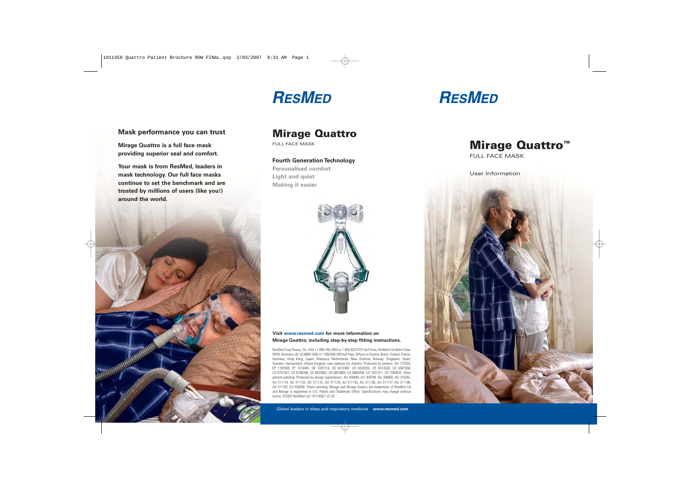## **RESMED**

# **RESMED**

**Mask performance you can trust** 

**Mirage Quattro is a full face mask providing superior seal and comfort.**

**Your mask is from ResMed, leaders in mask technology. Our full face masks continue to set the benchmark and aretrusted by millions of users (like you!) around the world.**



### Mirage Quattro

FULL FACE MASK

**Fourth Generation Technology**

**Personalised comfortLight and quiet Making it easier**



**Visit www.resmed.com for more information on Mirage Quattro, including step-by-step fitting instructions.**

ResMed Corp Poway, CA, USA +1 858 746 2400 or 1 800 424 0737 (toll free), ResMed Ltd Bella Vista, NSW, Australia +61 (2) 8884 1000 or 1 800 658 189 (toll free). Offices in Austria, Brazil, Finland, France, Germany, Hong Kong, Japan, Malaysia, Netherlands, New Zealand, Norway, Singapore, Spain, Sweden, Switzerland, United Kingdom (see website for details). Protected by patents: AU 777033, EP 1187649, EP 1314445, HK 1057714, US 6412487, US 6439230, US 6513526, US 6581594, US 6701927, US 6796308, US 6823865, US 6823869, US 6860269, US 7021311, US 7069933. Other patents pending. Protected by design registrations: AU 309495, AU 309789, AU 309800, AU 310242, AU 311114, AU 311132, AU 311133, AU 311134, AU 311135, AU 311136, AU 311137, AU 311186, AU 311187, EU 559208. Others pending. Mirage and Mirage Quattro are trademarks of ResMed Ltd and Mirage is registered in U.S. Patent and Trademark Office. Specifications may change without notice. ©2007 ResMed Ltd. 1011458/1 07 03



FULL FACE MASK